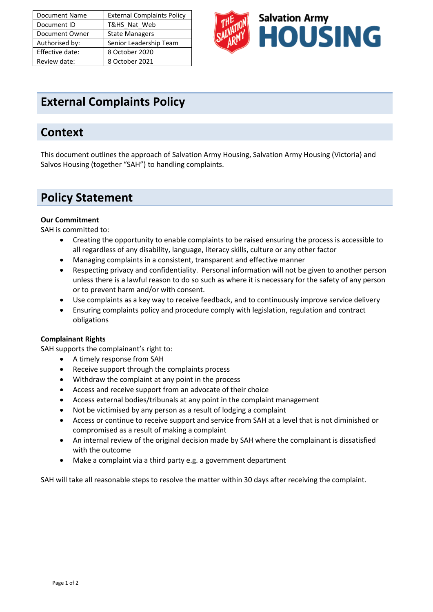| <b>Document Name</b> | <b>External Complaints Policy</b> |
|----------------------|-----------------------------------|
| Document ID          | T&HS Nat Web                      |
| Document Owner       | <b>State Managers</b>             |
| Authorised by:       | Senior Leadership Team            |
| Effective date:      | 8 October 2020                    |
| Review date:         | 8 October 2021                    |



# **External Complaints Policy**

## **Context**

This document outlines the approach of Salvation Army Housing, Salvation Army Housing (Victoria) and Salvos Housing (together "SAH") to handling complaints.

# **Policy Statement**

#### **Our Commitment**

SAH is committed to:

- Creating the opportunity to enable complaints to be raised ensuring the process is accessible to all regardless of any disability, language, literacy skills, culture or any other factor
- Managing complaints in a consistent, transparent and effective manner
- Respecting privacy and confidentiality. Personal information will not be given to another person unless there is a lawful reason to do so such as where it is necessary for the safety of any person or to prevent harm and/or with consent.
- Use complaints as a key way to receive feedback, and to continuously improve service delivery
- Ensuring complaints policy and procedure comply with legislation, regulation and contract obligations

#### **Complainant Rights**

SAH supports the complainant's right to:

- A timely response from SAH
- Receive support through the complaints process
- Withdraw the complaint at any point in the process
- Access and receive support from an advocate of their choice
- Access external bodies/tribunals at any point in the complaint management
- Not be victimised by any person as a result of lodging a complaint
- Access or continue to receive support and service from SAH at a level that is not diminished or compromised as a result of making a complaint
- An internal review of the original decision made by SAH where the complainant is dissatisfied with the outcome
- Make a complaint via a third party e.g. a government department

SAH will take all reasonable steps to resolve the matter within 30 days after receiving the complaint.